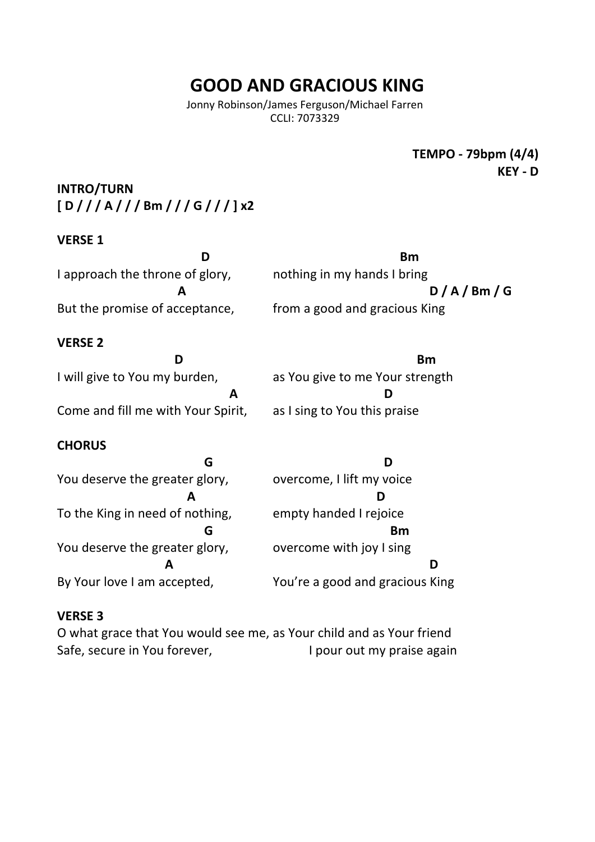# **GOOD AND GRACIOUS KING**

Jonny Robinson/James Ferguson/Michael Farren CCLI: 7073329

> **TEMPO** - 79bpm (4/4) **KFY - D**

**INTRO/TURN [ D / / / A / / / Bm / / / G / / / ] x2**

## **VERSE 1**

**D Bm** I approach the throne of glory, nothing in my hands I bring **A**  $D / A / Bm / G$ But the promise of acceptance, from a good and gracious King

## **VERSE 2**

**D Bm** I will give to You my burden, as You give to me Your strength **A** D Come and fill me with Your Spirit, as I sing to You this praise

# **CHORUS**

**G D** You deserve the greater glory, overcome, I lift my voice  **A D** To the King in need of nothing, empty handed I rejoice **G** Bm You deserve the greater glory, overcome with joy I sing **A D** By Your love I am accepted, You're a good and gracious King

# **VERSE 3**

O what grace that You would see me, as Your child and as Your friend Safe, secure in You forever, **I** pour out my praise again